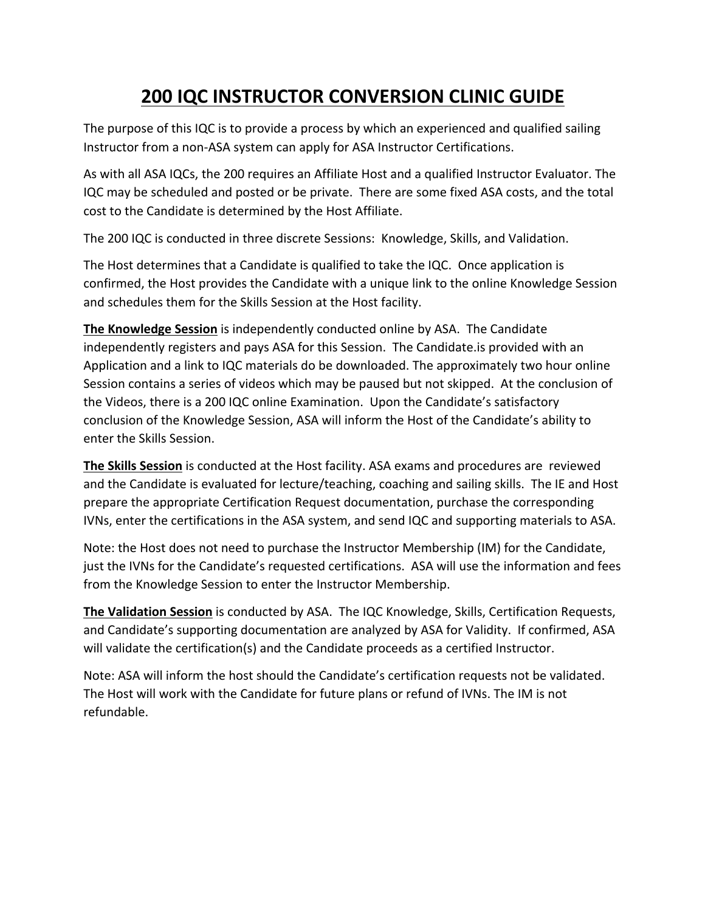## **200 IQC INSTRUCTOR CONVERSION CLINIC GUIDE**

The purpose of this IQC is to provide a process by which an experienced and qualified sailing Instructor from a non-ASA system can apply for ASA Instructor Certifications.

As with all ASA IQCs, the 200 requires an Affiliate Host and a qualified Instructor Evaluator. The IQC may be scheduled and posted or be private. There are some fixed ASA costs, and the total cost to the Candidate is determined by the Host Affiliate.

The 200 IQC is conducted in three discrete Sessions: Knowledge, Skills, and Validation.

The Host determines that a Candidate is qualified to take the IQC. Once application is confirmed, the Host provides the Candidate with a unique link to the online Knowledge Session and schedules them for the Skills Session at the Host facility.

**The Knowledge Session** is independently conducted online by ASA. The Candidate independently registers and pays ASA for this Session. The Candidate.is provided with an Application and a link to IQC materials do be downloaded. The approximately two hour online Session contains a series of videos which may be paused but not skipped. At the conclusion of the Videos, there is a 200 IQC online Examination. Upon the Candidate's satisfactory conclusion of the Knowledge Session, ASA will inform the Host of the Candidate's ability to enter the Skills Session.

**The Skills Session** is conducted at the Host facility. ASA exams and procedures are reviewed and the Candidate is evaluated for lecture/teaching, coaching and sailing skills. The IE and Host prepare the appropriate Certification Request documentation, purchase the corresponding IVNs, enter the certifications in the ASA system, and send IQC and supporting materials to ASA.

Note: the Host does not need to purchase the Instructor Membership (IM) for the Candidate, just the IVNs for the Candidate's requested certifications. ASA will use the information and fees from the Knowledge Session to enter the Instructor Membership.

**The Validation Session** is conducted by ASA. The IQC Knowledge, Skills, Certification Requests, and Candidate's supporting documentation are analyzed by ASA for Validity. If confirmed, ASA will validate the certification(s) and the Candidate proceeds as a certified Instructor.

Note: ASA will inform the host should the Candidate's certification requests not be validated. The Host will work with the Candidate for future plans or refund of IVNs. The IM is not refundable.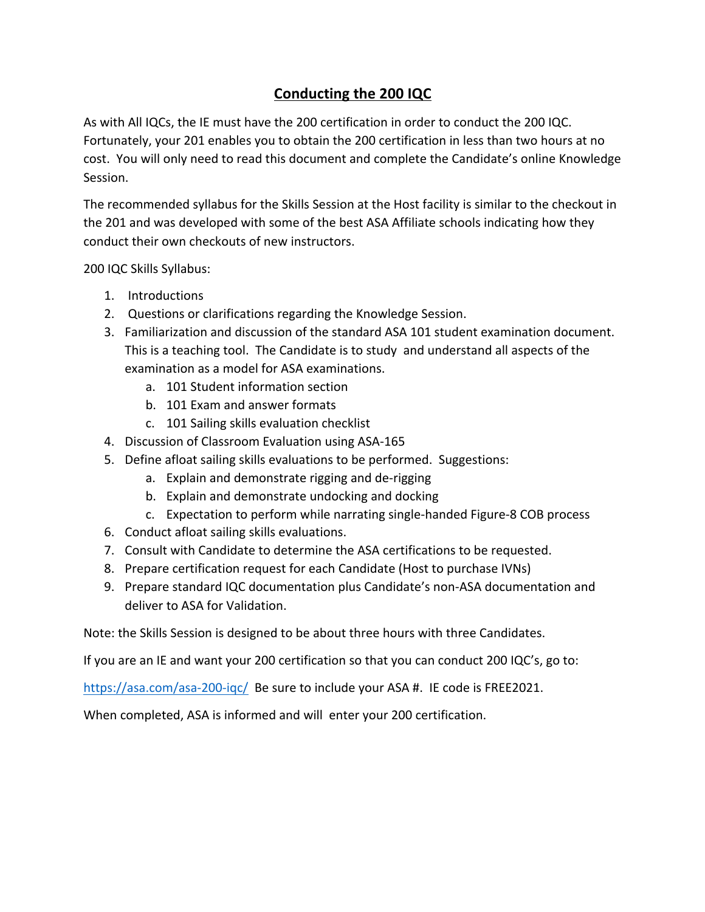## **Conducting the 200 IQC**

As with All IQCs, the IE must have the 200 certification in order to conduct the 200 IQC. Fortunately, your 201 enables you to obtain the 200 certification in less than two hours at no cost. You will only need to read this document and complete the Candidate's online Knowledge Session.

The recommended syllabus for the Skills Session at the Host facility is similar to the checkout in the 201 and was developed with some of the best ASA Affiliate schools indicating how they conduct their own checkouts of new instructors.

200 IQC Skills Syllabus:

- 1. Introductions
- 2. Questions or clarifications regarding the Knowledge Session.
- 3. Familiarization and discussion of the standard ASA 101 student examination document. This is a teaching tool. The Candidate is to study and understand all aspects of the examination as a model for ASA examinations.
	- a. 101 Student information section
	- b. 101 Exam and answer formats
	- c. 101 Sailing skills evaluation checklist
- 4. Discussion of Classroom Evaluation using ASA-165
- 5. Define afloat sailing skills evaluations to be performed. Suggestions:
	- a. Explain and demonstrate rigging and de-rigging
	- b. Explain and demonstrate undocking and docking
	- c. Expectation to perform while narrating single-handed Figure-8 COB process
- 6. Conduct afloat sailing skills evaluations.
- 7. Consult with Candidate to determine the ASA certifications to be requested.
- 8. Prepare certification request for each Candidate (Host to purchase IVNs)
- 9. Prepare standard IQC documentation plus Candidate's non-ASA documentation and deliver to ASA for Validation.

Note: the Skills Session is designed to be about three hours with three Candidates.

If you are an IE and want your 200 certification so that you can conduct 200 IQC's, go to:

https://asa.com/asa-200-iqc/ Be sure to include your ASA #. IE code is FREE2021.

When completed, ASA is informed and will enter your 200 certification.